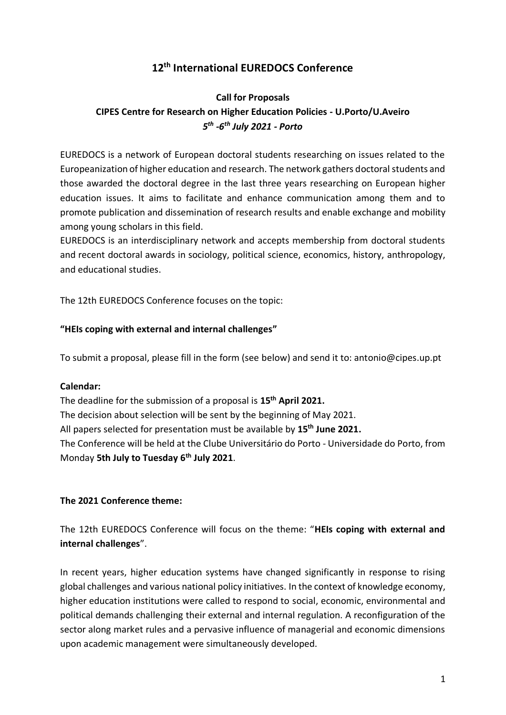# **12 th International EUREDOCS Conference**

# **Call for Proposals CIPES Centre for Research on Higher Education Policies - U.Porto/U.Aveiro** *5 th -6 th July 2021 - Porto*

EUREDOCS is a network of European doctoral students researching on issues related to the Europeanization of higher education and research. The network gathers doctoral students and those awarded the doctoral degree in the last three years researching on European higher education issues. It aims to facilitate and enhance communication among them and to promote publication and dissemination of research results and enable exchange and mobility among young scholars in this field.

EUREDOCS is an interdisciplinary network and accepts membership from doctoral students and recent doctoral awards in sociology, political science, economics, history, anthropology, and educational studies.

The 12th EUREDOCS Conference focuses on the topic:

#### **"HEIs coping with external and internal challenges"**

To submit a proposal, please fill in the form (see below) and send it to: antonio@cipes.up.pt

#### **Calendar:**

The deadline for the submission of a proposal is **15th April 2021.** The decision about selection will be sent by the beginning of May 2021. All papers selected for presentation must be available by **15th June 2021.** The Conference will be held at the Clube Universitário do Porto - Universidade do Porto, from Monday **5th July to Tuesday 6 th July 2021**.

# **The 2021 Conference theme:**

The 12th EUREDOCS Conference will focus on the theme: "**HEIs coping with external and internal challenges**".

In recent years, higher education systems have changed significantly in response to rising global challenges and various national policy initiatives. In the context of knowledge economy, higher education institutions were called to respond to social, economic, environmental and political demands challenging their external and internal regulation. A reconfiguration of the sector along market rules and a pervasive influence of managerial and economic dimensions upon academic management were simultaneously developed.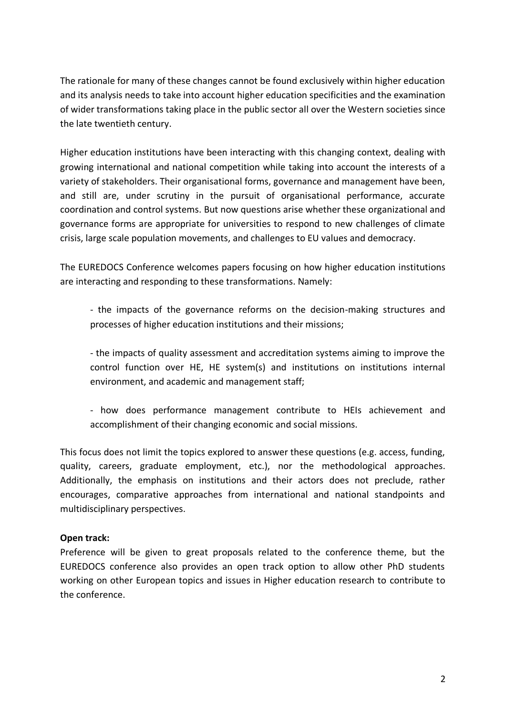The rationale for many of these changes cannot be found exclusively within higher education and its analysis needs to take into account higher education specificities and the examination of wider transformations taking place in the public sector all over the Western societies since the late twentieth century.

Higher education institutions have been interacting with this changing context, dealing with growing international and national competition while taking into account the interests of a variety of stakeholders. Their organisational forms, governance and management have been, and still are, under scrutiny in the pursuit of organisational performance, accurate coordination and control systems. But now questions arise whether these organizational and governance forms are appropriate for universities to respond to new challenges of climate crisis, large scale population movements, and challenges to EU values and democracy.

The EUREDOCS Conference welcomes papers focusing on how higher education institutions are interacting and responding to these transformations. Namely:

- the impacts of the governance reforms on the decision-making structures and processes of higher education institutions and their missions;

- the impacts of quality assessment and accreditation systems aiming to improve the control function over HE, HE system(s) and institutions on institutions internal environment, and academic and management staff;

- how does performance management contribute to HEIs achievement and accomplishment of their changing economic and social missions.

This focus does not limit the topics explored to answer these questions (e.g. access, funding, quality, careers, graduate employment, etc.), nor the methodological approaches. Additionally, the emphasis on institutions and their actors does not preclude, rather encourages, comparative approaches from international and national standpoints and multidisciplinary perspectives.

# **Open track:**

Preference will be given to great proposals related to the conference theme, but the EUREDOCS conference also provides an open track option to allow other PhD students working on other European topics and issues in Higher education research to contribute to the conference.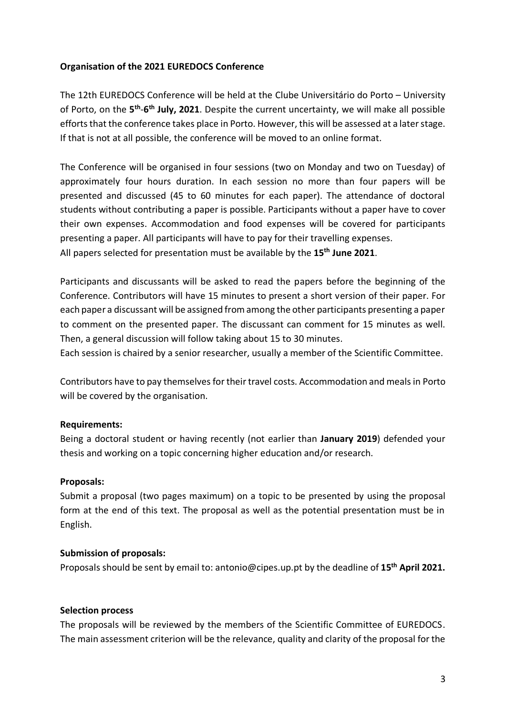## **Organisation of the 2021 EUREDOCS Conference**

The 12th EUREDOCS Conference will be held at the Clube Universitário do Porto – University of Porto, on the 5<sup>th</sup>-6<sup>th</sup> July, 2021. Despite the current uncertainty, we will make all possible efforts that the conference takes place in Porto. However, this will be assessed at a later stage. If that is not at all possible, the conference will be moved to an online format.

The Conference will be organised in four sessions (two on Monday and two on Tuesday) of approximately four hours duration. In each session no more than four papers will be presented and discussed (45 to 60 minutes for each paper). The attendance of doctoral students without contributing a paper is possible. Participants without a paper have to cover their own expenses. Accommodation and food expenses will be covered for participants presenting a paper. All participants will have to pay for their travelling expenses. All papers selected for presentation must be available by the **15th June 2021**.

Participants and discussants will be asked to read the papers before the beginning of the Conference. Contributors will have 15 minutes to present a short version of their paper. For each paper a discussant will be assigned from among the other participants presenting a paper to comment on the presented paper. The discussant can comment for 15 minutes as well. Then, a general discussion will follow taking about 15 to 30 minutes.

Each session is chaired by a senior researcher, usually a member of the Scientific Committee.

Contributors have to pay themselves for their travel costs. Accommodation and meals in Porto will be covered by the organisation.

#### **Requirements:**

Being a doctoral student or having recently (not earlier than **January 2019**) defended your thesis and working on a topic concerning higher education and/or research.

# **Proposals:**

Submit a proposal (two pages maximum) on a topic to be presented by using the proposal form at the end of this text. The proposal as well as the potential presentation must be in English.

#### **Submission of proposals:**

Proposals should be sent by email to: antonio@cipes.up.pt by the deadline of **15th April 2021.**

#### **Selection process**

The proposals will be reviewed by the members of the Scientific Committee of EUREDOCS. The main assessment criterion will be the relevance, quality and clarity of the proposal for the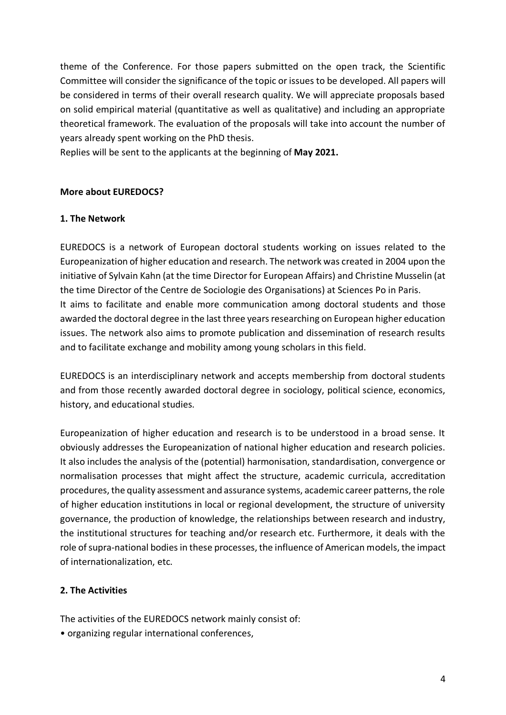theme of the Conference. For those papers submitted on the open track, the Scientific Committee will consider the significance of the topic or issues to be developed. All papers will be considered in terms of their overall research quality. We will appreciate proposals based on solid empirical material (quantitative as well as qualitative) and including an appropriate theoretical framework. The evaluation of the proposals will take into account the number of years already spent working on the PhD thesis.

Replies will be sent to the applicants at the beginning of **May 2021.**

# **More about EUREDOCS?**

# **1. The Network**

EUREDOCS is a network of European doctoral students working on issues related to the Europeanization of higher education and research. The network was created in 2004 upon the initiative of Sylvain Kahn (at the time Director for European Affairs) and Christine Musselin (at the time Director of the Centre de Sociologie des Organisations) at Sciences Po in Paris. It aims to facilitate and enable more communication among doctoral students and those awarded the doctoral degree in the last three years researching on European higher education issues. The network also aims to promote publication and dissemination of research results and to facilitate exchange and mobility among young scholars in this field.

EUREDOCS is an interdisciplinary network and accepts membership from doctoral students and from those recently awarded doctoral degree in sociology, political science, economics, history, and educational studies.

Europeanization of higher education and research is to be understood in a broad sense. It obviously addresses the Europeanization of national higher education and research policies. It also includes the analysis of the (potential) harmonisation, standardisation, convergence or normalisation processes that might affect the structure, academic curricula, accreditation procedures, the quality assessment and assurance systems, academic career patterns, the role of higher education institutions in local or regional development, the structure of university governance, the production of knowledge, the relationships between research and industry, the institutional structures for teaching and/or research etc. Furthermore, it deals with the role of supra-national bodies in these processes, the influence of American models, the impact of internationalization, etc.

# **2. The Activities**

The activities of the EUREDOCS network mainly consist of:

• organizing regular international conferences,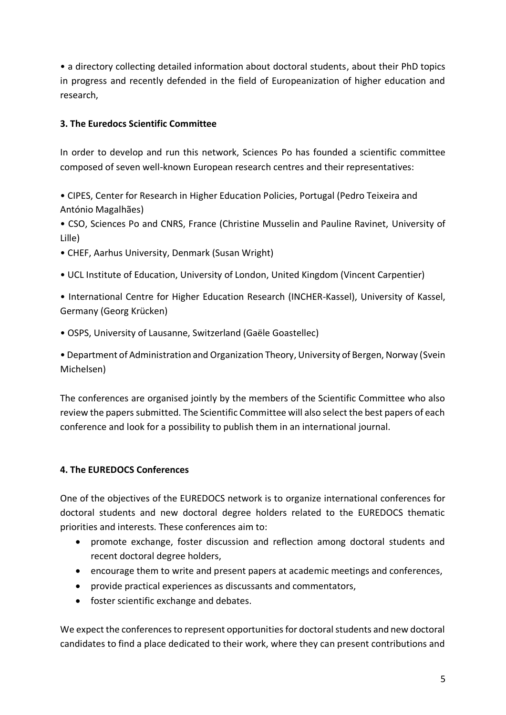• a directory collecting detailed information about doctoral students, about their PhD topics in progress and recently defended in the field of Europeanization of higher education and research,

# **3. The Euredocs Scientific Committee**

In order to develop and run this network, Sciences Po has founded a scientific committee composed of seven well-known European research centres and their representatives:

• CIPES, Center for Research in Higher Education Policies, Portugal (Pedro Teixeira and António Magalhães)

• CSO, Sciences Po and CNRS, France (Christine Musselin and Pauline Ravinet, University of Lille)

- CHEF, Aarhus University, Denmark (Susan Wright)
- UCL Institute of Education, University of London, United Kingdom (Vincent Carpentier)
- International Centre for Higher Education Research (INCHER-Kassel), University of Kassel, Germany (Georg Krücken)
- OSPS, University of Lausanne, Switzerland (Gaële Goastellec)

• Department of Administration and Organization Theory, University of Bergen, Norway (Svein Michelsen)

The conferences are organised jointly by the members of the Scientific Committee who also review the papers submitted. The Scientific Committee will also select the best papers of each conference and look for a possibility to publish them in an international journal.

# **4. The EUREDOCS Conferences**

One of the objectives of the EUREDOCS network is to organize international conferences for doctoral students and new doctoral degree holders related to the EUREDOCS thematic priorities and interests. These conferences aim to:

- promote exchange, foster discussion and reflection among doctoral students and recent doctoral degree holders,
- encourage them to write and present papers at academic meetings and conferences,
- provide practical experiences as discussants and commentators,
- foster scientific exchange and debates.

We expect the conferences to represent opportunities for doctoral students and new doctoral candidates to find a place dedicated to their work, where they can present contributions and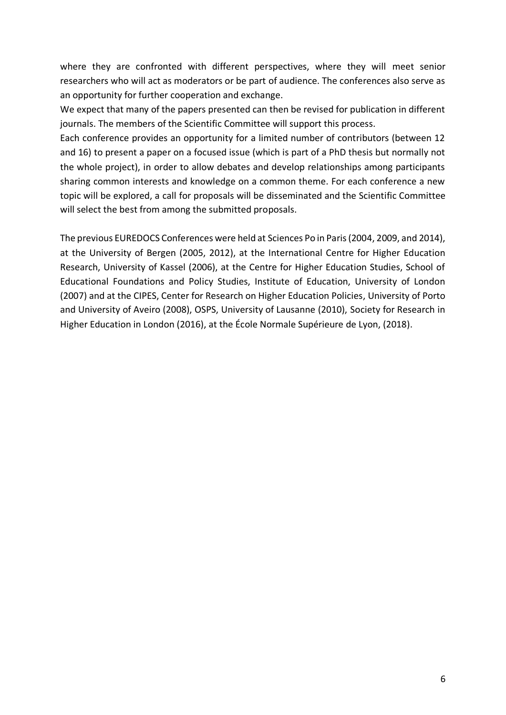where they are confronted with different perspectives, where they will meet senior researchers who will act as moderators or be part of audience. The conferences also serve as an opportunity for further cooperation and exchange.

We expect that many of the papers presented can then be revised for publication in different journals. The members of the Scientific Committee will support this process.

Each conference provides an opportunity for a limited number of contributors (between 12 and 16) to present a paper on a focused issue (which is part of a PhD thesis but normally not the whole project), in order to allow debates and develop relationships among participants sharing common interests and knowledge on a common theme. For each conference a new topic will be explored, a call for proposals will be disseminated and the Scientific Committee will select the best from among the submitted proposals.

The previous EUREDOCS Conferences were held at Sciences Po in Paris (2004, 2009, and 2014), at the University of Bergen (2005, 2012), at the International Centre for Higher Education Research, University of Kassel (2006), at the Centre for Higher Education Studies, School of Educational Foundations and Policy Studies, Institute of Education, University of London (2007) and at the CIPES, Center for Research on Higher Education Policies, University of Porto and University of Aveiro (2008), OSPS, University of Lausanne (2010), Society for Research in Higher Education in London (2016), at the École Normale Supérieure de Lyon, (2018).